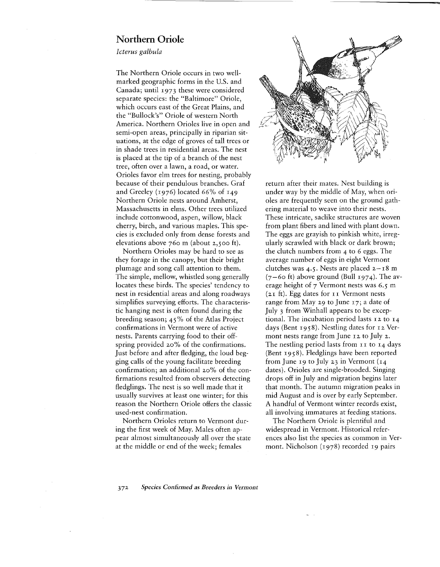## **Northern Oriole**

*Icterus galbula*

The Northern Oriole occurs in two wellmarked geographic forms in the U.S. and Canada; until 1973 these were considered separate species: the "Baltimore" Oriole, which occurs east of the Great Plains, and the "Bullock's" Oriole of western North America. Northern Orioles live in open and semi-open areas, principally in riparian situations, at the edge of groves of tall trees or in shade trees in residential areas. The nest is placed at the tip of a branch of the nest tree, often over a lawn, a road, or water. Orioles favor elm trees for nesting, probably because of their pendulous branches. Graf and Greeley (1976) located 66% of 149 Northern Oriole nests around Amherst, Massachusetts in elms. Other trees utilized include cottonwood, aspen, willow, black cherry, birch, and various maples. This species is excluded only from dense forests and elevations above 760 m (about 2,500 ft).

Northern Orioles may be hard to see as they forage in the canopy, but their bright plumage and song call attention to them. The simple, mellow, whistled song generally locates these birds. The species' tendency to nest in residential areas and along roadways simplifies surveying efforts. The characteristic hanging nest is often found during the breeding season; 45% of the Atlas Project confirmations in Vermont were of active nests. Parents carrying food to their offspring provided 20% of the confirmations. Just before and after fledging, the loud begging calls of the young facilitate breeding confirmation; an additional 20% of the confirmations resulted from observers detecting fledglings. The nest is so well made that it usually survives at least one winter; for this reason the Northern Oriole offers the classic used-nest confirmation.

Northern Orioles return to Vermont during the first week of May. Males often appear almost simultaneously all over the state at the middle or end of the week; females



..

return after their mates. Nest building is under way by the middle of May, when orioles are frequently seen on the ground gathering material to weave into their nests. These intricate, saclike structures are woven from plant fibers and lined with plant down. The eggs are grayish to pinkish white, irregularly scrawled with black or dark brown; the clutch numbers from 4 to 6 eggs. The average number of eggs in eight Vermont clutches was 4.5. Nests are placed  $2-\frac{18}{9}$  m  $(7-60 \text{ ft})$  above ground (Bull 1974). The average height of 7 Vermont nests was 6.5 m  $(2I)$  ft). Egg dates for  $II$  Vermont nests range from May 29 to June 17; a date of July 3 from Winhall appears to be exceptional. The incubation period lasts 12 to 14 days (Bent 1958). Nestling dates for 12 Vermont nests range from June 12 to July 2. The nestling period lasts from II to 14 days (Bent 1958). Fledglings have been reported from June 19 to July 23 in Vermont  $(14)$ dates). Orioles are single-brooded. Singing drops off in July and migration begins later that month. The autumn migration peaks in mid August and is over by early September. A handful of Vermont winter records exist, all involving immatures at feeding stations.

The Northern Oriole is plentiful and widespread in Vermont. Historical references also list the species as common in Vermont. Nicholson (1978) recorded 19 pairs

*372 Species Confirmed as Breeders in Vermont*